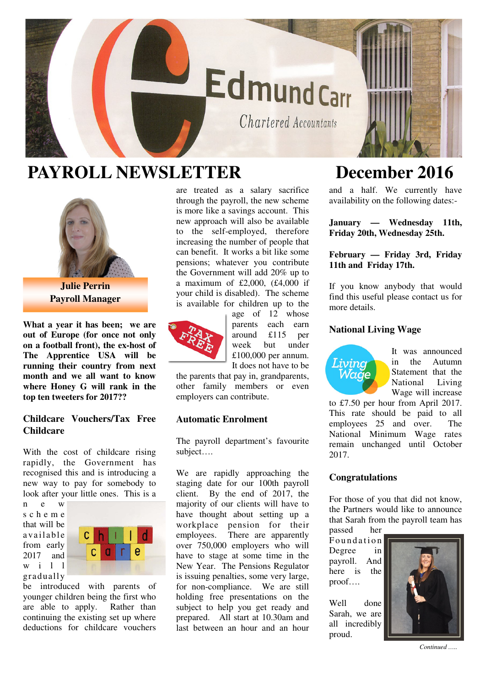# **EdmundCarr**

Chartered Accountants

## **PAYROLL NEWSLETTER December 2016**



**Julie Perrin Payroll Manager** 

**What a year it has been; we are out of Europe (for once not only on a football front), the ex-host of The Apprentice USA will be running their country from next month and we all want to know where Honey G will rank in the top ten tweeters for 2017??**

#### **Childcare Vouchers/Tax Free Childcare**

With the cost of childcare rising rapidly, the Government has recognised this and is introducing a new way to pay for somebody to look after your little ones. This is a

n e w s c h e m e that will be a va ila ble from early 2017 and w i l l gradually



be introduced with parents of younger children being the first who are able to apply. Rather than continuing the existing set up where deductions for childcare vouchers

are treated as a salary sacrifice through the payroll, the new scheme is more like a savings account. This new approach will also be available to the self-employed, therefore increasing the number of people that can benefit. It works a bit like some pensions; whatever you contribute the Government will add 20% up to a maximum of £2,000,  $(f4,000)$  if your child is disabled). The scheme is available for children up to the



age of 12 whose parents each earn around £115 per week but under £100,000 per annum. It does not have to be

the parents that pay in, grandparents, other family members or even employers can contribute.

### **Automatic Enrolment**

The payroll department's favourite subject….

We are rapidly approaching the staging date for our 100th payroll client. By the end of 2017, the majority of our clients will have to have thought about setting up a workplace pension for their<br>employees. There are apparently There are apparently over 750,000 employers who will have to stage at some time in the New Year. The Pensions Regulator is issuing penalties, some very large, for non-compliance. We are still holding free presentations on the subject to help you get ready and prepared. All start at 10.30am and last between an hour and an hour

and a half. We currently have availability on the following dates:-

**January — Wednesday 11th, Friday 20th, Wednesday 25th.** 

**February — Friday 3rd, Friday 11th and Friday 17th.** 

If you know anybody that would find this useful please contact us for more details.

#### **National Living Wage**



It was announced in the Autumn Statement that the National Living Wage will increase

to £7.50 per hour from April 2017. This rate should be paid to all<br>employees 25 and over. The employees 25 and over. National Minimum Wage rates remain unchanged until October 2017.

### **Congratulations**

For those of you that did not know, the Partners would like to announce that Sarah from the payroll team has

passed her Foundation Degree in payroll. And here is the proof….

Well done Sarah, we are all incredibly proud.



*Continued …..*